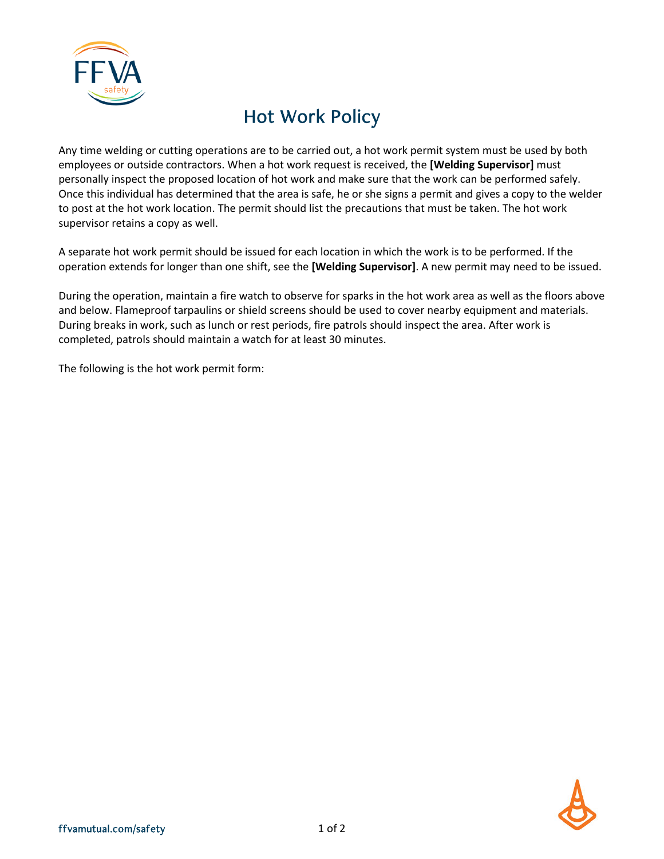

## Hot Work Policy

Any time welding or cutting operations are to be carried out, a hot work permit system must be used by both employees or outside contractors. When a hot work request is received, the **[Welding Supervisor]** must personally inspect the proposed location of hot work and make sure that the work can be performed safely. Once this individual has determined that the area is safe, he or she signs a permit and gives a copy to the welder to post at the hot work location. The permit should list the precautions that must be taken. The hot work supervisor retains a copy as well.

A separate hot work permit should be issued for each location in which the work is to be performed. If the operation extends for longer than one shift, see the **[Welding Supervisor]**. A new permit may need to be issued.

During the operation, maintain a fire watch to observe for sparks in the hot work area as well as the floors above and below. Flameproof tarpaulins or shield screens should be used to cover nearby equipment and materials. During breaks in work, such as lunch or rest periods, fire patrols should inspect the area. After work is completed, patrols should maintain a watch for at least 30 minutes.

The following is the hot work permit form: